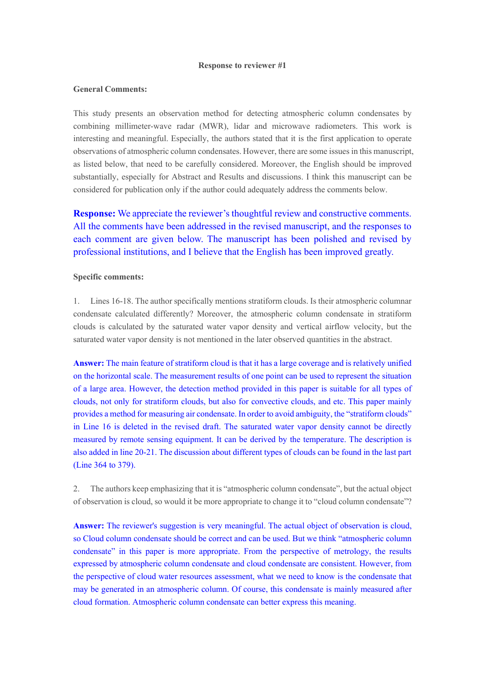#### **Response to reviewer #1**

#### **General Comments:**

This study presents an observation method for detecting atmospheric column condensates by combining millimeter-wave radar (MWR), lidar and microwave radiometers. This work is interesting and meaningful. Especially, the authors stated that it is the first application to operate observations of atmospheric column condensates. However, there are some issues in this manuscript, as listed below, that need to be carefully considered. Moreover, the English should be improved substantially, especially for Abstract and Results and discussions. I think this manuscript can be considered for publication only if the author could adequately address the comments below.

**Response:** We appreciate the reviewer's thoughtful review and constructive comments. All the comments have been addressed in the revised manuscript, and the responses to each comment are given below. The manuscript has been polished and revised by professional institutions, and I believe that the English has been improved greatly.

# **Specific comments:**

1. Lines 16-18. The author specifically mentions stratiform clouds. Is their atmospheric columnar condensate calculated differently? Moreover, the atmospheric column condensate in stratiform clouds is calculated by the saturated water vapor density and vertical airflow velocity, but the saturated water vapor density is not mentioned in the later observed quantities in the abstract.

**Answer:** The main feature of stratiform cloud is that it has a large coverage and is relatively unified on the horizontal scale. The measurement results of one point can be used to represent the situation of a large area. However, the detection method provided in this paper is suitable for all types of clouds, not only for stratiform clouds, but also for convective clouds, and etc. This paper mainly provides a method for measuring air condensate. In order to avoid ambiguity, the "stratiform clouds" in Line 16 is deleted in the revised draft. The saturated water vapor density cannot be directly measured by remote sensing equipment. It can be derived by the temperature. The description is also added in line 20-21. The discussion about different types of clouds can be found in the last part (Line 364 to 379).

2. The authors keep emphasizing that it is "atmospheric column condensate", but the actual object of observation is cloud, so would it be more appropriate to change it to "cloud column condensate"?

**Answer:** The reviewer's suggestion is very meaningful. The actual object of observation is cloud, so Cloud column condensate should be correct and can be used. But we think "atmospheric column condensate" in this paper is more appropriate. From the perspective of metrology, the results expressed by atmospheric column condensate and cloud condensate are consistent. However, from the perspective of cloud water resources assessment, what we need to know is the condensate that may be generated in an atmospheric column. Of course, this condensate is mainly measured after cloud formation. Atmospheric column condensate can better express this meaning.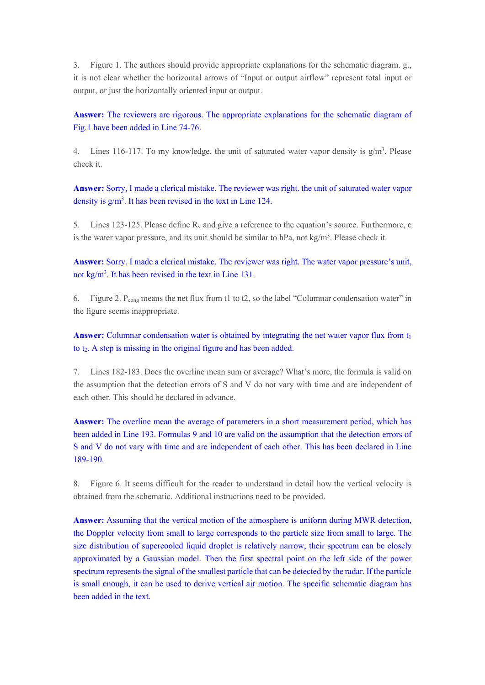3. Figure 1. The authors should provide appropriate explanations for the schematic diagram. g., it is not clear whether the horizontal arrows of "Input or output airflow" represent total input or output, or just the horizontally oriented input or output.

Answer: The reviewers are rigorous. The appropriate explanations for the schematic diagram of Fig.1 have been added in Line 74-76.

4. Lines 116-117. To my knowledge, the unit of saturated water vapor density is  $g/m<sup>3</sup>$ . Please check it.

**Answer:** Sorry, I made a clerical mistake. The reviewer was right. the unit of saturated water vapor density is g/m3. It has been revised in the text in Line 124.

5. Lines 123-125. Please define Rv and give a reference to the equation's source. Furthermore, e is the water vapor pressure, and its unit should be similar to hPa, not  $kg/m<sup>3</sup>$ . Please check it.

**Answer:** Sorry, I made a clerical mistake. The reviewer was right. The water vapor pressure's unit, not kg/m3. It has been revised in the text in Line 131.

6. Figure 2. Pcong means the net flux from t1 to t2, so the label "Columnar condensation water" in the figure seems inappropriate.

**Answer:** Columnar condensation water is obtained by integrating the net water vapor flux from t<sub>1</sub> to t<sub>2</sub>. A step is missing in the original figure and has been added.

7. Lines 182-183. Does the overline mean sum or average? What's more, the formula is valid on the assumption that the detection errors of S and V do not vary with time and are independent of each other. This should be declared in advance.

**Answer:** The overline mean the average of parameters in a short measurement period, which has been added in Line 193. Formulas 9 and 10 are valid on the assumption that the detection errors of S and V do not vary with time and are independent of each other. This has been declared in Line 189-190.

8. Figure 6. It seems difficult for the reader to understand in detail how the vertical velocity is obtained from the schematic. Additional instructions need to be provided.

**Answer:** Assuming that the vertical motion of the atmosphere is uniform during MWR detection, the Doppler velocity from small to large corresponds to the particle size from small to large. The size distribution of supercooled liquid droplet is relatively narrow, their spectrum can be closely approximated by a Gaussian model. Then the first spectral point on the left side of the power spectrum represents the signal of the smallest particle that can be detected by the radar. If the particle is small enough, it can be used to derive vertical air motion. The specific schematic diagram has been added in the text.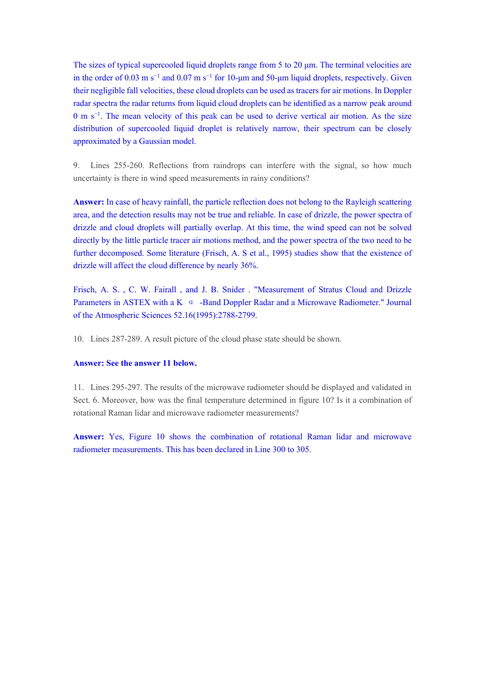The sizes of typical supercooled liquid droplets range from 5 to 20  $\mu$ m. The terminal velocities are in the order of 0.03 m s<sup>-1</sup> and 0.07 m s<sup>-1</sup> for 10-um and 50-um liquid droplets, respectively. Given their negligible fall velocities, these cloud droplets can be used as tracers for air motions. In Doppler radar spectra the radar returns from liquid cloud droplets can be identified as a narrow peak around 0 m s<sup>-1</sup>. The mean velocity of this peak can be used to derive vertical air motion. As the size distribution of supercooled liquid droplet is relatively narrow, their spectrum can be closely approximated by a Gaussian model.

9. Lines 255-260. Reflections from raindrops can interfere with the signal, so how much uncertainty is there in wind speed measurements in rainy conditions?

**Answer:** In case of heavy rainfall, the particle reflection does not belong to the Rayleigh scattering area, and the detection results may not be true and reliable. In case of drizzle, the power spectra of drizzle and cloud droplets will partially overlap. At this time, the wind speed can not be solved directly by the little particle tracer air motions method, and the power spectra of the two need to be further decomposed. Some literature (Frisch, A. S et al., 1995) studies show that the existence of drizzle will affect the cloud difference by nearly 36%.

Frisch, A. S. , C. W. Fairall , and J. B. Snider . "Measurement of Stratus Cloud and Drizzle Parameters in ASTEX with a K α -Band Doppler Radar and a Microwave Radiometer." Journal of the Atmospheric Sciences 52.16(1995):2788-2799.

10. Lines 287-289. A result picture of the cloud phase state should be shown.

# **Answer: See the answer 11 below.**

11. Lines 295-297. The results of the microwave radiometer should be displayed and validated in Sect. 6. Moreover, how was the final temperature determined in figure 10? Is it a combination of rotational Raman lidar and microwave radiometer measurements?

**Answer:** Yes, Figure 10 shows the combination of rotational Raman lidar and microwave radiometer measurements. This has been declared in Line 300 to 305.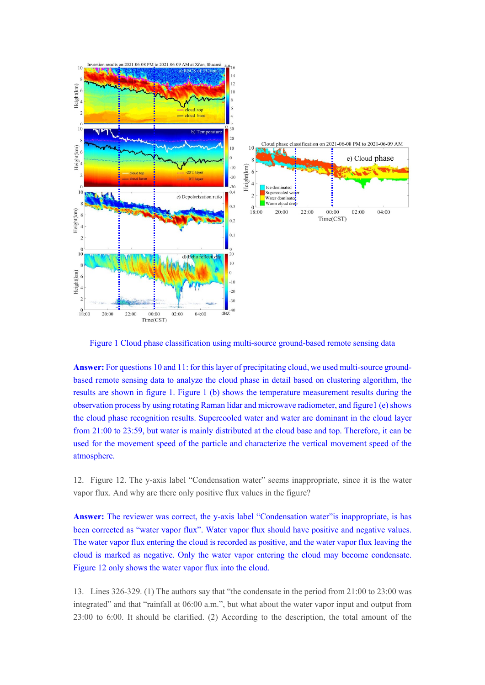

Figure 1 Cloud phase classification using multi-source ground-based remote sensing data

**Answer:** For questions 10 and 11: for this layer of precipitating cloud, we used multi-source groundbased remote sensing data to analyze the cloud phase in detail based on clustering algorithm, the results are shown in figure 1. Figure 1 (b) shows the temperature measurement results during the observation process by using rotating Raman lidar and microwave radiometer, and figure1 (e) shows the cloud phase recognition results. Supercooled water and water are dominant in the cloud layer from 21:00 to 23:59, but water is mainly distributed at the cloud base and top. Therefore, it can be used for the movement speed of the particle and characterize the vertical movement speed of the atmosphere.

12. Figure 12. The y-axis label "Condensation water" seems inappropriate, since it is the water vapor flux. And why are there only positive flux values in the figure?

**Answer:** The reviewer was correct, the y-axis label "Condensation water"is inappropriate, is has been corrected as "water vapor flux". Water vapor flux should have positive and negative values. The water vapor flux entering the cloud is recorded as positive, and the water vapor flux leaving the cloud is marked as negative. Only the water vapor entering the cloud may become condensate. Figure 12 only shows the water vapor flux into the cloud.

13. Lines 326-329. (1) The authors say that "the condensate in the period from 21:00 to 23:00 was integrated" and that "rainfall at 06:00 a.m.", but what about the water vapor input and output from 23:00 to 6:00. It should be clarified. (2) According to the description, the total amount of the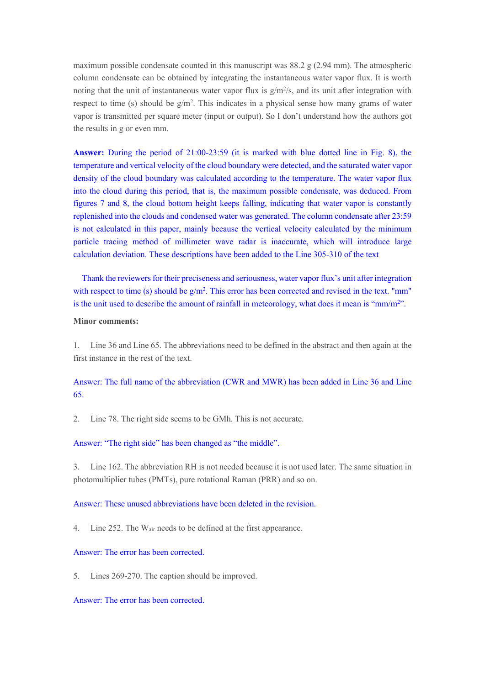maximum possible condensate counted in this manuscript was 88.2 g (2.94 mm). The atmospheric column condensate can be obtained by integrating the instantaneous water vapor flux. It is worth noting that the unit of instantaneous water vapor flux is  $g/m^2/s$ , and its unit after integration with respect to time (s) should be g/m2. This indicates in a physical sense how many grams of water vapor is transmitted per square meter (input or output). So I don't understand how the authors got the results in g or even mm.

**Answer:** During the period of 21:00-23:59 (it is marked with blue dotted line in Fig. 8), the temperature and vertical velocity of the cloud boundary were detected, and the saturated water vapor density of the cloud boundary was calculated according to the temperature. The water vapor flux into the cloud during this period, that is, the maximum possible condensate, was deduced. From figures 7 and 8, the cloud bottom height keeps falling, indicating that water vapor is constantly replenished into the clouds and condensed water was generated. The column condensate after 23:59 is not calculated in this paper, mainly because the vertical velocity calculated by the minimum particle tracing method of millimeter wave radar is inaccurate, which will introduce large calculation deviation. These descriptions have been added to the Line 305-310 of the text

Thank the reviewers for their preciseness and seriousness, water vapor flux's unit after integration with respect to time (s) should be  $g/m^2$ . This error has been corrected and revised in the text. "mm" is the unit used to describe the amount of rainfall in meteorology, what does it mean is "mm/m<sup>2</sup>".

#### **Minor comments:**

1. Line 36 and Line 65. The abbreviations need to be defined in the abstract and then again at the first instance in the rest of the text.

# Answer: The full name of the abbreviation (CWR and MWR) has been added in Line 36 and Line 65.

2. Line 78. The right side seems to be GMh. This is not accurate.

# Answer: "The right side" has been changed as "the middle".

3. Line 162. The abbreviation RH is not needed because it is not used later. The same situation in photomultiplier tubes (PMTs), pure rotational Raman (PRR) and so on.

## Answer: These unused abbreviations have been deleted in the revision.

4. Line 252. The Wair needs to be defined at the first appearance.

# Answer: The error has been corrected.

5. Lines 269-270. The caption should be improved.

Answer: The error has been corrected.